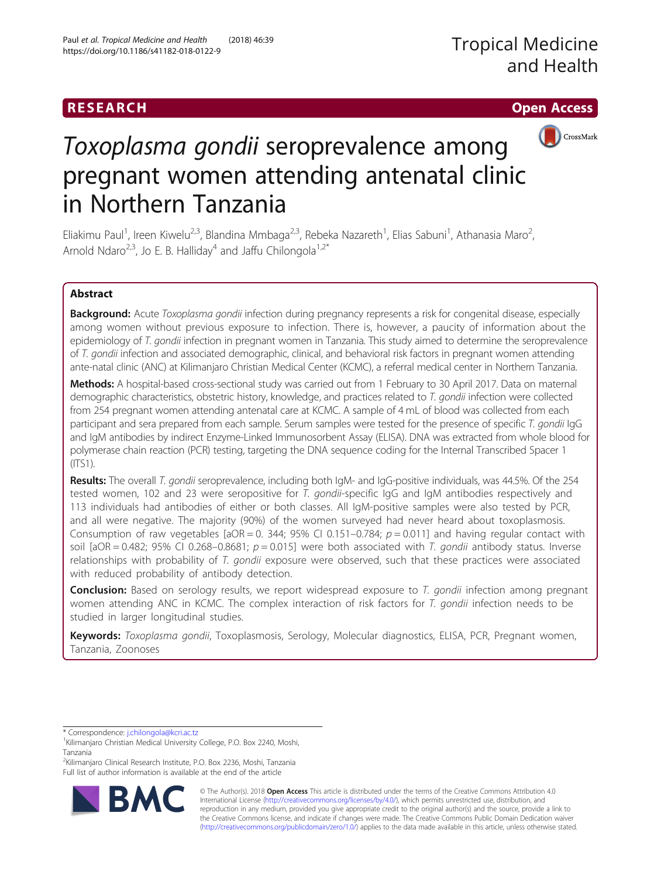# RESEARCH **RESEARCH CHOOSE ACCESS**



# Toxoplasma gondii seroprevalence among pregnant women attending antenatal clinic in Northern Tanzania

Eliakimu Paul<sup>1</sup>, Ireen Kiwelu<sup>2,3</sup>, Blandina Mmbaga<sup>2,3</sup>, Rebeka Nazareth<sup>1</sup>, Elias Sabuni<sup>1</sup>, Athanasia Maro<sup>2</sup> .<br>, Arnold Ndaro<sup>2,3</sup>, Jo E. B. Halliday<sup>4</sup> and Jaffu Chilongola<sup>1,2\*</sup>

# Abstract

Background: Acute Toxoplasma gondii infection during pregnancy represents a risk for congenital disease, especially among women without previous exposure to infection. There is, however, a paucity of information about the epidemiology of T. gondii infection in pregnant women in Tanzania. This study aimed to determine the seroprevalence of T. gondii infection and associated demographic, clinical, and behavioral risk factors in pregnant women attending ante-natal clinic (ANC) at Kilimanjaro Christian Medical Center (KCMC), a referral medical center in Northern Tanzania.

Methods: A hospital-based cross-sectional study was carried out from 1 February to 30 April 2017. Data on maternal demographic characteristics, obstetric history, knowledge, and practices related to T. gondii infection were collected from 254 pregnant women attending antenatal care at KCMC. A sample of 4 mL of blood was collected from each participant and sera prepared from each sample. Serum samples were tested for the presence of specific T. gondii IgG and IgM antibodies by indirect Enzyme-Linked Immunosorbent Assay (ELISA). DNA was extracted from whole blood for polymerase chain reaction (PCR) testing, targeting the DNA sequence coding for the Internal Transcribed Spacer 1 (ITS1).

Results: The overall T. gondii seroprevalence, including both IgM- and IgG-positive individuals, was 44.5%. Of the 254 tested women, 102 and 23 were seropositive for T. gondii-specific IgG and IgM antibodies respectively and 113 individuals had antibodies of either or both classes. All IgM-positive samples were also tested by PCR, and all were negative. The majority (90%) of the women surveyed had never heard about toxoplasmosis. Consumption of raw vegetables  $[aOR = 0.344; 95\%$  CI 0.151-0.784;  $p = 0.011$ ] and having regular contact with soil [aOR = 0.482; 95% CI 0.268–0.8681;  $p = 0.015$ ] were both associated with T. gondii antibody status. Inverse relationships with probability of T. gondii exposure were observed, such that these practices were associated with reduced probability of antibody detection.

**Conclusion:** Based on serology results, we report widespread exposure to T. gondii infection among pregnant women attending ANC in KCMC. The complex interaction of risk factors for  $T$ . gondii infection needs to be studied in larger longitudinal studies.

Keywords: Toxoplasma gondii, Toxoplasmosis, Serology, Molecular diagnostics, ELISA, PCR, Pregnant women, Tanzania, Zoonoses

\* Correspondence: [j.chilongola@kcri.ac.tz](mailto:j.chilongola@kcri.ac.tz) <sup>1</sup>

<sup>2</sup>Kilimanjaro Clinical Research Institute, P.O. Box 2236, Moshi, Tanzania Full list of author information is available at the end of the article



© The Author(s). 2018 Open Access This article is distributed under the terms of the Creative Commons Attribution 4.0 International License [\(http://creativecommons.org/licenses/by/4.0/](http://creativecommons.org/licenses/by/4.0/)), which permits unrestricted use, distribution, and reproduction in any medium, provided you give appropriate credit to the original author(s) and the source, provide a link to the Creative Commons license, and indicate if changes were made. The Creative Commons Public Domain Dedication waiver [\(http://creativecommons.org/publicdomain/zero/1.0/](http://creativecommons.org/publicdomain/zero/1.0/)) applies to the data made available in this article, unless otherwise stated.

<sup>&</sup>lt;sup>1</sup>Kilimanjaro Christian Medical University College, P.O. Box 2240, Moshi, Tanzania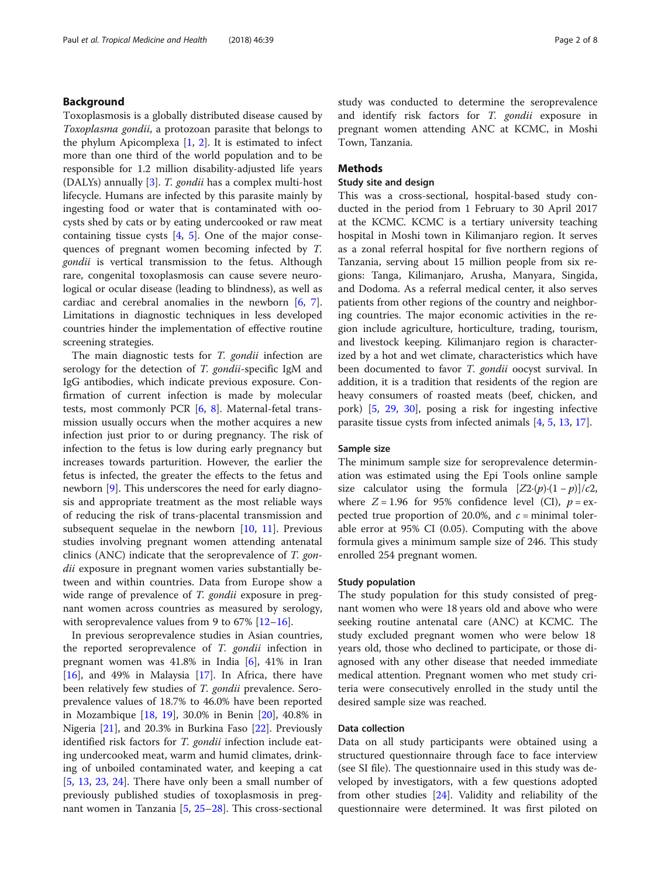# Background

Toxoplasmosis is a globally distributed disease caused by Toxoplasma gondii, a protozoan parasite that belongs to the phylum Apicomplexa  $[1, 2]$  $[1, 2]$  $[1, 2]$ . It is estimated to infect more than one third of the world population and to be responsible for 1.2 million disability-adjusted life years (DALYs) annually [[3\]](#page-6-0). T. gondii has a complex multi-host lifecycle. Humans are infected by this parasite mainly by ingesting food or water that is contaminated with oocysts shed by cats or by eating undercooked or raw meat containing tissue cysts [[4,](#page-6-0) [5\]](#page-6-0). One of the major consequences of pregnant women becoming infected by T. gondii is vertical transmission to the fetus. Although rare, congenital toxoplasmosis can cause severe neurological or ocular disease (leading to blindness), as well as cardiac and cerebral anomalies in the newborn [\[6](#page-6-0), [7](#page-6-0)]. Limitations in diagnostic techniques in less developed countries hinder the implementation of effective routine screening strategies.

The main diagnostic tests for T. gondii infection are serology for the detection of T. gondii-specific IgM and IgG antibodies, which indicate previous exposure. Confirmation of current infection is made by molecular tests, most commonly PCR [[6,](#page-6-0) [8\]](#page-6-0). Maternal-fetal transmission usually occurs when the mother acquires a new infection just prior to or during pregnancy. The risk of infection to the fetus is low during early pregnancy but increases towards parturition. However, the earlier the fetus is infected, the greater the effects to the fetus and newborn [[9\]](#page-6-0). This underscores the need for early diagnosis and appropriate treatment as the most reliable ways of reducing the risk of trans-placental transmission and subsequent sequelae in the newborn  $[10, 11]$  $[10, 11]$  $[10, 11]$  $[10, 11]$ . Previous studies involving pregnant women attending antenatal clinics (ANC) indicate that the seroprevalence of T. gondii exposure in pregnant women varies substantially between and within countries. Data from Europe show a wide range of prevalence of *T. gondii* exposure in pregnant women across countries as measured by serology, with seroprevalence values from 9 to 67% [[12](#page-6-0)–[16](#page-6-0)].

In previous seroprevalence studies in Asian countries, the reported seroprevalence of T. gondii infection in pregnant women was 41.8% in India [[6\]](#page-6-0), 41% in Iran [[16\]](#page-6-0), and 49% in Malaysia [\[17](#page-6-0)]. In Africa, there have been relatively few studies of T. gondii prevalence. Seroprevalence values of 18.7% to 46.0% have been reported in Mozambique [[18,](#page-6-0) [19\]](#page-6-0), 30.0% in Benin [[20](#page-6-0)], 40.8% in Nigeria [\[21](#page-6-0)], and 20.3% in Burkina Faso [[22\]](#page-6-0). Previously identified risk factors for *T. gondii* infection include eating undercooked meat, warm and humid climates, drinking of unboiled contaminated water, and keeping a cat [[5,](#page-6-0) [13](#page-6-0), [23,](#page-6-0) [24](#page-6-0)]. There have only been a small number of previously published studies of toxoplasmosis in pregnant women in Tanzania [\[5,](#page-6-0) [25](#page-6-0)–[28\]](#page-6-0). This cross-sectional study was conducted to determine the seroprevalence and identify risk factors for T. gondii exposure in pregnant women attending ANC at KCMC, in Moshi Town, Tanzania.

# Methods

# Study site and design

This was a cross-sectional, hospital-based study conducted in the period from 1 February to 30 April 2017 at the KCMC. KCMC is a tertiary university teaching hospital in Moshi town in Kilimanjaro region. It serves as a zonal referral hospital for five northern regions of Tanzania, serving about 15 million people from six regions: Tanga, Kilimanjaro, Arusha, Manyara, Singida, and Dodoma. As a referral medical center, it also serves patients from other regions of the country and neighboring countries. The major economic activities in the region include agriculture, horticulture, trading, tourism, and livestock keeping. Kilimanjaro region is characterized by a hot and wet climate, characteristics which have been documented to favor T. gondii oocyst survival. In addition, it is a tradition that residents of the region are heavy consumers of roasted meats (beef, chicken, and pork) [\[5,](#page-6-0) [29,](#page-6-0) [30](#page-6-0)], posing a risk for ingesting infective parasite tissue cysts from infected animals [[4,](#page-6-0) [5,](#page-6-0) [13](#page-6-0), [17](#page-6-0)].

#### Sample size

The minimum sample size for seroprevalence determination was estimated using the Epi Tools online sample size calculator using the formula  $[Z2{\cdot}(p){\cdot}(1-p)]/c2$ , where  $Z = 1.96$  for 95% confidence level (CI),  $p = ex$ pected true proportion of 20.0%, and  $c =$  minimal tolerable error at 95% CI (0.05). Computing with the above formula gives a minimum sample size of 246. This study enrolled 254 pregnant women.

#### Study population

The study population for this study consisted of pregnant women who were 18 years old and above who were seeking routine antenatal care (ANC) at KCMC. The study excluded pregnant women who were below 18 years old, those who declined to participate, or those diagnosed with any other disease that needed immediate medical attention. Pregnant women who met study criteria were consecutively enrolled in the study until the desired sample size was reached.

### Data collection

Data on all study participants were obtained using a structured questionnaire through face to face interview (see SI file). The questionnaire used in this study was developed by investigators, with a few questions adopted from other studies [[24\]](#page-6-0). Validity and reliability of the questionnaire were determined. It was first piloted on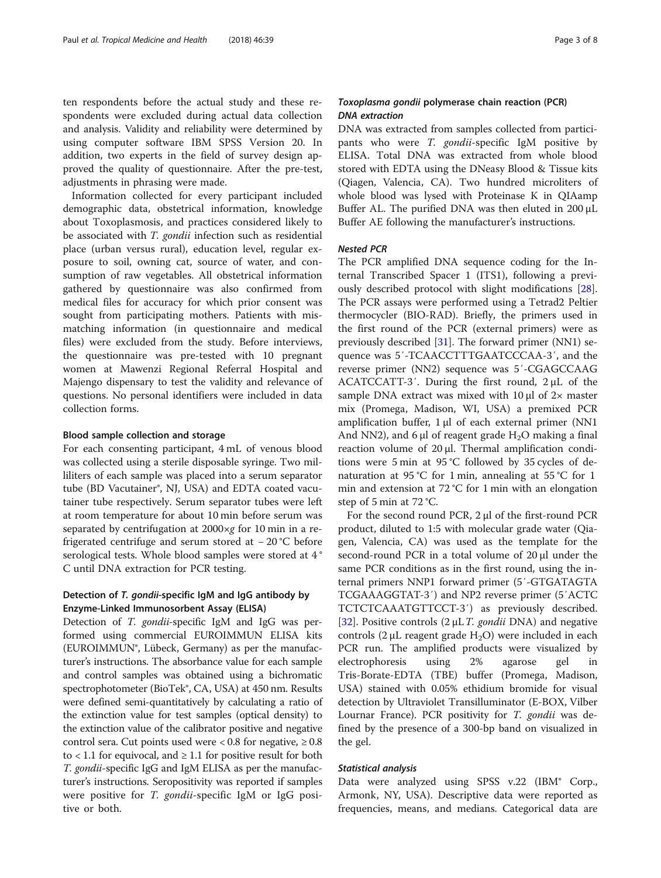ten respondents before the actual study and these respondents were excluded during actual data collection and analysis. Validity and reliability were determined by using computer software IBM SPSS Version 20. In addition, two experts in the field of survey design approved the quality of questionnaire. After the pre-test, adjustments in phrasing were made.

Information collected for every participant included demographic data, obstetrical information, knowledge about Toxoplasmosis, and practices considered likely to be associated with T. gondii infection such as residential place (urban versus rural), education level, regular exposure to soil, owning cat, source of water, and consumption of raw vegetables. All obstetrical information gathered by questionnaire was also confirmed from medical files for accuracy for which prior consent was sought from participating mothers. Patients with mismatching information (in questionnaire and medical files) were excluded from the study. Before interviews, the questionnaire was pre-tested with 10 pregnant women at Mawenzi Regional Referral Hospital and Majengo dispensary to test the validity and relevance of questions. No personal identifiers were included in data collection forms.

#### Blood sample collection and storage

For each consenting participant, 4 mL of venous blood was collected using a sterile disposable syringe. Two milliliters of each sample was placed into a serum separator tube (BD Vacutainer®, NJ, USA) and EDTA coated vacutainer tube respectively. Serum separator tubes were left at room temperature for about 10 min before serum was separated by centrifugation at 2000×g for 10 min in a refrigerated centrifuge and serum stored at − 20 °C before serological tests. Whole blood samples were stored at 4 ° C until DNA extraction for PCR testing.

# Detection of T. gondii-specific IgM and IgG antibody by Enzyme-Linked Immunosorbent Assay (ELISA)

Detection of T. gondii-specific IgM and IgG was performed using commercial EUROIMMUN ELISA kits (EUROIMMUN®, Lübeck, Germany) as per the manufacturer's instructions. The absorbance value for each sample and control samples was obtained using a bichromatic spectrophotometer (BioTek®, CA, USA) at 450 nm. Results were defined semi-quantitatively by calculating a ratio of the extinction value for test samples (optical density) to the extinction value of the calibrator positive and negative control sera. Cut points used were <  $0.8$  for negative,  $\geq 0.8$ to < 1.1 for equivocal, and  $\geq 1.1$  for positive result for both T. gondii-specific IgG and IgM ELISA as per the manufacturer's instructions. Seropositivity was reported if samples were positive for T. gondii-specific IgM or IgG positive or both.

# Toxoplasma gondii polymerase chain reaction (PCR) DNA extraction

DNA was extracted from samples collected from participants who were *T. gondii-specific* IgM positive by ELISA. Total DNA was extracted from whole blood stored with EDTA using the DNeasy Blood & Tissue kits (Qiagen, Valencia, CA). Two hundred microliters of whole blood was lysed with Proteinase K in QIAamp Buffer AL. The purified DNA was then eluted in 200 μL Buffer AE following the manufacturer's instructions.

# Nested PCR

The PCR amplified DNA sequence coding for the Internal Transcribed Spacer 1 (ITS1), following a previously described protocol with slight modifications [\[28](#page-6-0)]. The PCR assays were performed using a Tetrad2 Peltier thermocycler (BIO-RAD). Briefly, the primers used in the first round of the PCR (external primers) were as previously described [\[31](#page-6-0)]. The forward primer (NN1) sequence was 5′-TCAACCTTTGAATCCCAA-3′, and the reverse primer (NN2) sequence was 5′-CGAGCCAAG ACATCCATT-3′. During the first round, 2 μL of the sample DNA extract was mixed with  $10 \mu l$  of  $2 \times$  master mix (Promega, Madison, WI, USA) a premixed PCR amplification buffer, 1 μl of each external primer (NN1 And NN2), and 6 μl of reagent grade  $H_2O$  making a final reaction volume of 20 μl. Thermal amplification conditions were 5 min at 95 °C followed by 35 cycles of denaturation at 95 °C for 1 min, annealing at 55 °C for 1 min and extension at 72 °C for 1 min with an elongation step of 5 min at 72 °C.

For the second round PCR, 2 μl of the first-round PCR product, diluted to 1:5 with molecular grade water (Qiagen, Valencia, CA) was used as the template for the second-round PCR in a total volume of 20 μl under the same PCR conditions as in the first round, using the internal primers NNP1 forward primer (5′-GTGATAGTA TCGAAAGGTAT-3′) and NP2 reverse primer (5′ACTC TCTCTCAAATGTTCCT-3′) as previously described. [[32\]](#page-6-0). Positive controls  $(2 \mu L T. \text{ gondii DNA})$  and negative controls  $(2 \mu L$  reagent grade H<sub>2</sub>O) were included in each PCR run. The amplified products were visualized by electrophoresis using 2% agarose gel in Tris-Borate-EDTA (TBE) buffer (Promega, Madison, USA) stained with 0.05% ethidium bromide for visual detection by Ultraviolet Transilluminator (E-BOX, Vilber Lournar France). PCR positivity for T. gondii was defined by the presence of a 300-bp band on visualized in the gel.

### Statistical analysis

Data were analyzed using SPSS v.22 (IBM® Corp., Armonk, NY, USA). Descriptive data were reported as frequencies, means, and medians. Categorical data are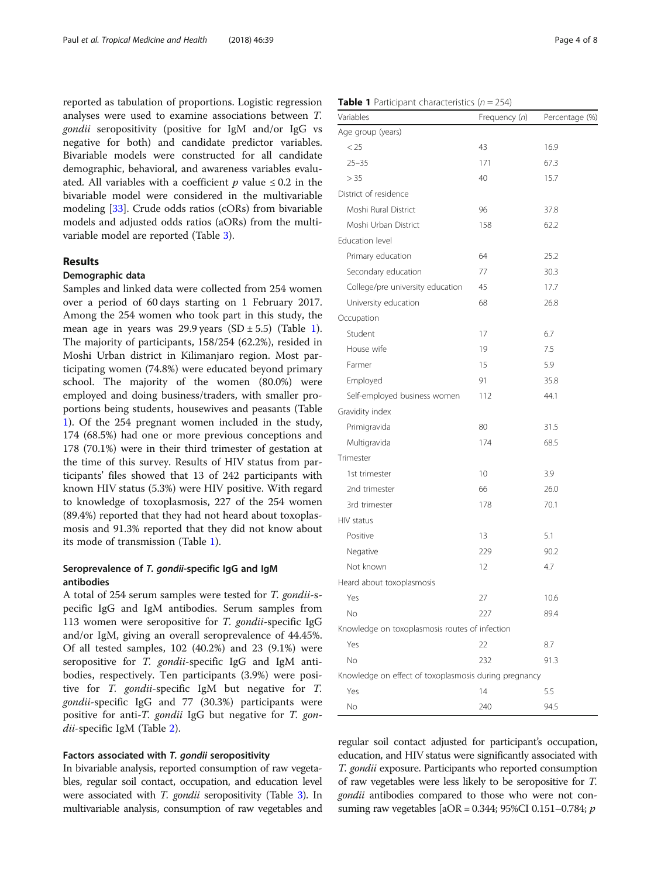reported as tabulation of proportions. Logistic regression analyses were used to examine associations between T. gondii seropositivity (positive for IgM and/or IgG vs negative for both) and candidate predictor variables. Bivariable models were constructed for all candidate demographic, behavioral, and awareness variables evaluated. All variables with a coefficient  $p$  value  $\leq 0.2$  in the bivariable model were considered in the multivariable modeling [\[33](#page-6-0)]. Crude odds ratios (cORs) from bivariable models and adjusted odds ratios (aORs) from the multivariable model are reported (Table [3](#page-4-0)).

# Results

# Demographic data

Samples and linked data were collected from 254 women over a period of 60 days starting on 1 February 2017. Among the 254 women who took part in this study, the mean age in years was 29.9 years  $(SD \pm 5.5)$  (Table 1). The majority of participants, 158/254 (62.2%), resided in Moshi Urban district in Kilimanjaro region. Most participating women (74.8%) were educated beyond primary school. The majority of the women (80.0%) were employed and doing business/traders, with smaller proportions being students, housewives and peasants (Table 1). Of the 254 pregnant women included in the study, 174 (68.5%) had one or more previous conceptions and 178 (70.1%) were in their third trimester of gestation at the time of this survey. Results of HIV status from participants' files showed that 13 of 242 participants with known HIV status (5.3%) were HIV positive. With regard to knowledge of toxoplasmosis, 227 of the 254 women (89.4%) reported that they had not heard about toxoplasmosis and 91.3% reported that they did not know about its mode of transmission (Table 1).

# Seroprevalence of T. gondii-specific IgG and IgM antibodies

A total of 254 serum samples were tested for T. gondii-specific IgG and IgM antibodies. Serum samples from 113 women were seropositive for T. gondii-specific IgG and/or IgM, giving an overall seroprevalence of 44.45%. Of all tested samples, 102 (40.2%) and 23 (9.1%) were seropositive for T. gondii-specific IgG and IgM antibodies, respectively. Ten participants (3.9%) were positive for T. gondii-specific IgM but negative for T. gondii-specific IgG and 77 (30.3%) participants were positive for anti-*T. gondii* IgG but negative for *T. gon*-dii-specific IgM (Table [2\)](#page-4-0).

# Factors associated with T. gondii seropositivity

In bivariable analysis, reported consumption of raw vegetables, regular soil contact, occupation, and education level were associated with *T. gondii* seropositivity (Table [3\)](#page-4-0). In multivariable analysis, consumption of raw vegetables and

| Variables                                             | Frequency (n) | Percentage (%) |
|-------------------------------------------------------|---------------|----------------|
| Age group (years)                                     |               |                |
| < 25                                                  | 43            | 16.9           |
| $25 - 35$                                             | 171           | 67.3           |
| > 35                                                  | 40            | 15.7           |
| District of residence                                 |               |                |
| Moshi Rural District                                  | 96            | 37.8           |
| Moshi Urban District                                  | 158           | 62.2           |
| Education level                                       |               |                |
| Primary education                                     | 64            | 25.2           |
| Secondary education                                   | 77            | 30.3           |
| College/pre university education                      | 45            | 17.7           |
| University education                                  | 68            | 26.8           |
| Occupation                                            |               |                |
| Student                                               | 17            | 6.7            |
| House wife                                            | 19            | 7.5            |
| Farmer                                                | 15            | 5.9            |
| Employed                                              | 91            | 35.8           |
| Self-employed business women                          | 112           | 44.1           |
| Gravidity index                                       |               |                |
| Primigravida                                          | 80            | 31.5           |
| Multigravida                                          | 174           | 68.5           |
| Trimester                                             |               |                |
| 1st trimester                                         | 10            | 3.9            |
| 2nd trimester                                         | 66            | 26.0           |
| 3rd trimester                                         | 178           | 70.1           |
| HIV status                                            |               |                |
| Positive                                              | 13            | 5.1            |
| Negative                                              | 229           | 90.2           |
| Not known                                             | 12            | 4.7            |
| Heard about toxoplasmosis                             |               |                |
| Yes                                                   | 27            | 10.6           |
| No                                                    | 227           | 89.4           |
| Knowledge on toxoplasmosis routes of infection        |               |                |
| Yes                                                   | 22            | 8.7            |
| No                                                    | 232           | 91.3           |
| Knowledge on effect of toxoplasmosis during pregnancy |               |                |
| Yes                                                   | 14            | 5.5            |

regular soil contact adjusted for participant's occupation, education, and HIV status were significantly associated with T. gondii exposure. Participants who reported consumption of raw vegetables were less likely to be seropositive for T. gondii antibodies compared to those who were not consuming raw vegetables [aOR = 0.344; 95%CI 0.151–0.784;  $p$ 

No 240 94.5

#### **Table 1** Participant characteristics  $(n = 254)$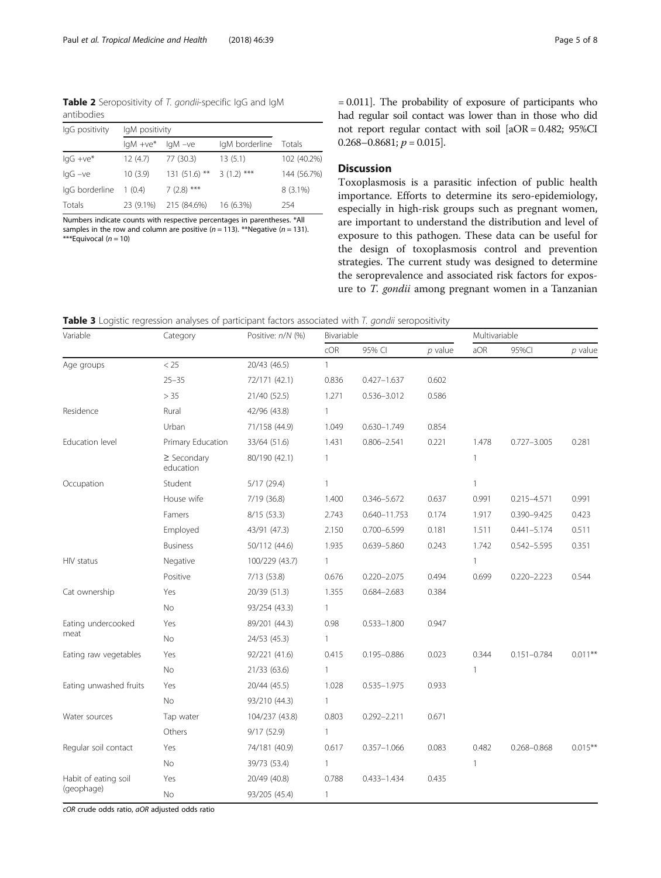<span id="page-4-0"></span>Table 2 Seropositivity of T. gondii-specific IgG and IgM antibodies

| IgG positivity     | IgM positivity        |                |                |             |  |  |
|--------------------|-----------------------|----------------|----------------|-------------|--|--|
|                    | $IqM +ve^*$ $IqM -ve$ |                | IgM borderline | Totals      |  |  |
| $\lg G + \vee e^*$ | 12(4.7)               | 77 (30.3)      | 13(5.1)        | 102 (40.2%) |  |  |
| $IqG -ve$          | 10(3.9)               | $131(51.6)$ ** | $3(1.2)$ ***   | 144 (56.7%) |  |  |
| IgG borderline     | 1(0.4)                | $7(2.8)$ ***   |                | $8(3.1\%)$  |  |  |
| Totals             | 23 (9.1%)             | 215 (84.6%)    | 16 (6.3%)      | 254         |  |  |

Numbers indicate counts with respective percentages in parentheses. \*All samples in the row and column are positive  $(n = 113)$ . \*\*Negative  $(n = 131)$ . \*\*\*Equivocal (n = 10)

= 0.011]. The probability of exposure of participants who had regular soil contact was lower than in those who did not report regular contact with soil [aOR = 0.482; 95%CI  $0.268 - 0.8681$ ;  $p = 0.015$ .

# Discussion

Toxoplasmosis is a parasitic infection of public health importance. Efforts to determine its sero-epidemiology, especially in high-risk groups such as pregnant women, are important to understand the distribution and level of exposure to this pathogen. These data can be useful for the design of toxoplasmosis control and prevention strategies. The current study was designed to determine the seroprevalence and associated risk factors for exposure to T. gondii among pregnant women in a Tanzanian

Table 3 Logistic regression analyses of participant factors associated with T. gondii seropositivity

| Variable                   | Category                      | Positive: n/N (%) | Bivariable   |                  |           | Multivariable |                 |            |
|----------------------------|-------------------------------|-------------------|--------------|------------------|-----------|---------------|-----------------|------------|
|                            |                               |                   | cOR          | 95% CI           | $p$ value | aOR           | 95%CI           | $p$ value  |
| Age groups                 | $<25\,$                       | 20/43 (46.5)      | $\mathbf{1}$ |                  |           |               |                 |            |
|                            | $25 - 35$                     | 72/171 (42.1)     | 0.836        | $0.427 - 1.637$  | 0.602     |               |                 |            |
|                            | > 35                          | 21/40 (52.5)      | 1.271        | 0.536-3.012      | 0.586     |               |                 |            |
| Residence                  | Rural                         | 42/96 (43.8)      | $\mathbf{1}$ |                  |           |               |                 |            |
|                            | Urban                         | 71/158 (44.9)     | 1.049        | $0.630 - 1.749$  | 0.854     |               |                 |            |
| Education level            | Primary Education             | 33/64 (51.6)      | 1.431        | $0.806 - 2.541$  | 0.221     | 1.478         | $0.727 - 3.005$ | 0.281      |
|                            | $\geq$ Secondary<br>education | 80/190 (42.1)     | $\mathbf{1}$ |                  |           | 1             |                 |            |
| Occupation                 | Student                       | 5/17(29.4)        | $\mathbf{1}$ |                  |           | 1             |                 |            |
|                            | House wife                    | 7/19 (36.8)       | 1.400        | $0.346 - 5.672$  | 0.637     | 0.991         | $0.215 - 4.571$ | 0.991      |
|                            | Famers                        | 8/15(53.3)        | 2.743        | $0.640 - 11.753$ | 0.174     | 1.917         | $0.390 - 9.425$ | 0.423      |
|                            | Employed                      | 43/91 (47.3)      | 2.150        | $0.700 - 6.599$  | 0.181     | 1.511         | $0.441 - 5.174$ | 0.511      |
|                            | <b>Business</b>               | 50/112 (44.6)     | 1.935        | 0.639-5.860      | 0.243     | 1.742         | $0.542 - 5.595$ | 0.351      |
| HIV status                 | Negative                      | 100/229 (43.7)    | $\mathbf{1}$ |                  |           | 1             |                 |            |
|                            | Positive                      | 7/13 (53.8)       | 0.676        | $0.220 - 2.075$  | 0.494     | 0.699         | $0.220 - 2.223$ | 0.544      |
| Cat ownership              | Yes                           | 20/39 (51.3)      | 1.355        | $0.684 - 2.683$  | 0.384     |               |                 |            |
|                            | No                            | 93/254 (43.3)     | $\mathbf{1}$ |                  |           |               |                 |            |
| Eating undercooked<br>meat | Yes                           | 89/201 (44.3)     | 0.98         | $0.533 - 1.800$  | 0.947     |               |                 |            |
|                            | No                            | 24/53 (45.3)      | $\mathbf{1}$ |                  |           |               |                 |            |
| Eating raw vegetables      | Yes                           | 92/221 (41.6)     | 0.415        | $0.195 - 0.886$  | 0.023     | 0.344         | $0.151 - 0.784$ | $0.011***$ |
|                            | No                            | 21/33 (63.6)      | $\mathbf{1}$ |                  |           | 1             |                 |            |
| Eating unwashed fruits     | Yes                           | 20/44 (45.5)      | 1.028        | $0.535 - 1.975$  | 0.933     |               |                 |            |
|                            | No                            | 93/210 (44.3)     | $\mathbf{1}$ |                  |           |               |                 |            |
| Water sources              | Tap water                     | 104/237 (43.8)    | 0.803        | $0.292 - 2.211$  | 0.671     |               |                 |            |
|                            | Others                        | 9/17(52.9)        | $\mathbf{1}$ |                  |           |               |                 |            |
| Regular soil contact       | Yes                           | 74/181 (40.9)     | 0.617        | $0.357 - 1.066$  | 0.083     | 0.482         | $0.268 - 0.868$ | $0.015***$ |
|                            | No                            | 39/73 (53.4)      | $\mathbf{1}$ |                  |           | 1             |                 |            |
| Habit of eating soil       | Yes                           | 20/49 (40.8)      | 0.788        | $0.433 - 1.434$  | 0.435     |               |                 |            |
| (geophage)                 | No                            | 93/205 (45.4)     | 1            |                  |           |               |                 |            |

cOR crude odds ratio, aOR adjusted odds ratio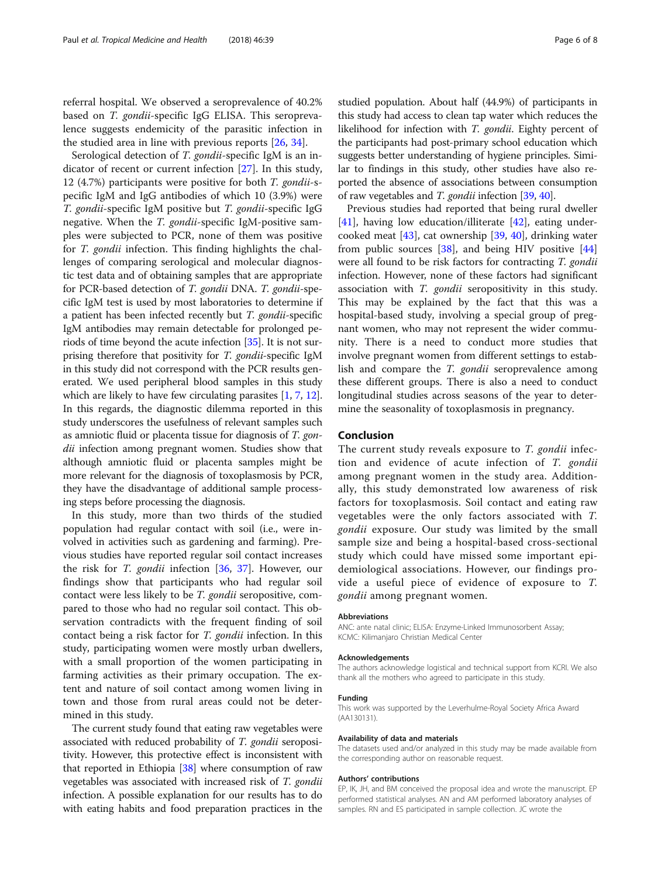referral hospital. We observed a seroprevalence of 40.2% based on T. gondii-specific IgG ELISA. This seroprevalence suggests endemicity of the parasitic infection in the studied area in line with previous reports [\[26](#page-6-0), [34](#page-6-0)].

Serological detection of T. gondii-specific IgM is an indicator of recent or current infection [\[27](#page-6-0)]. In this study, 12 (4.7%) participants were positive for both T. gondii-specific IgM and IgG antibodies of which 10 (3.9%) were T. gondii-specific IgM positive but T. gondii-specific IgG negative. When the T. gondii-specific IgM-positive samples were subjected to PCR, none of them was positive for T. gondii infection. This finding highlights the challenges of comparing serological and molecular diagnostic test data and of obtaining samples that are appropriate for PCR-based detection of T. gondii DNA. T. gondii-specific IgM test is used by most laboratories to determine if a patient has been infected recently but T. gondii-specific IgM antibodies may remain detectable for prolonged periods of time beyond the acute infection [[35](#page-6-0)]. It is not surprising therefore that positivity for T. gondii-specific IgM in this study did not correspond with the PCR results generated. We used peripheral blood samples in this study which are likely to have few circulating parasites [\[1](#page-6-0), [7,](#page-6-0) [12](#page-6-0)]. In this regards, the diagnostic dilemma reported in this study underscores the usefulness of relevant samples such as amniotic fluid or placenta tissue for diagnosis of T. gondii infection among pregnant women. Studies show that although amniotic fluid or placenta samples might be more relevant for the diagnosis of toxoplasmosis by PCR, they have the disadvantage of additional sample processing steps before processing the diagnosis.

In this study, more than two thirds of the studied population had regular contact with soil (i.e., were involved in activities such as gardening and farming). Previous studies have reported regular soil contact increases the risk for T. gondii infection [\[36,](#page-6-0) [37\]](#page-7-0). However, our findings show that participants who had regular soil contact were less likely to be T. gondii seropositive, compared to those who had no regular soil contact. This observation contradicts with the frequent finding of soil contact being a risk factor for T. gondii infection. In this study, participating women were mostly urban dwellers, with a small proportion of the women participating in farming activities as their primary occupation. The extent and nature of soil contact among women living in town and those from rural areas could not be determined in this study.

The current study found that eating raw vegetables were associated with reduced probability of T. gondii seropositivity. However, this protective effect is inconsistent with that reported in Ethiopia [\[38](#page-7-0)] where consumption of raw vegetables was associated with increased risk of T. gondii infection. A possible explanation for our results has to do with eating habits and food preparation practices in the studied population. About half (44.9%) of participants in this study had access to clean tap water which reduces the likelihood for infection with T. gondii. Eighty percent of the participants had post-primary school education which suggests better understanding of hygiene principles. Similar to findings in this study, other studies have also reported the absence of associations between consumption of raw vegetables and T. gondii infection [[39](#page-7-0), [40\]](#page-7-0).

Previous studies had reported that being rural dweller [[41\]](#page-7-0), having low education/illiterate [\[42](#page-7-0)], eating undercooked meat [\[43](#page-7-0)], cat ownership [\[39](#page-7-0), [40](#page-7-0)], drinking water from public sources  $[38]$  $[38]$  $[38]$ , and being HIV positive  $[44]$  $[44]$  $[44]$ were all found to be risk factors for contracting T. gondii infection. However, none of these factors had significant association with T. gondii seropositivity in this study. This may be explained by the fact that this was a hospital-based study, involving a special group of pregnant women, who may not represent the wider community. There is a need to conduct more studies that involve pregnant women from different settings to establish and compare the T. gondii seroprevalence among these different groups. There is also a need to conduct longitudinal studies across seasons of the year to determine the seasonality of toxoplasmosis in pregnancy.

# Conclusion

The current study reveals exposure to  $T$ . gondii infection and evidence of acute infection of T. gondii among pregnant women in the study area. Additionally, this study demonstrated low awareness of risk factors for toxoplasmosis. Soil contact and eating raw vegetables were the only factors associated with T. gondii exposure. Our study was limited by the small sample size and being a hospital-based cross-sectional study which could have missed some important epidemiological associations. However, our findings provide a useful piece of evidence of exposure to T. gondii among pregnant women.

#### Abbreviations

ANC: ante natal clinic; ELISA: Enzyme-Linked Immunosorbent Assay; KCMC: Kilimanjaro Christian Medical Center

#### Acknowledgements

The authors acknowledge logistical and technical support from KCRI. We also thank all the mothers who agreed to participate in this study.

#### Funding

This work was supported by the Leverhulme-Royal Society Africa Award (AA130131).

#### Availability of data and materials

The datasets used and/or analyzed in this study may be made available from the corresponding author on reasonable request.

#### Authors' contributions

EP, IK, JH, and BM conceived the proposal idea and wrote the manuscript. EP performed statistical analyses. AN and AM performed laboratory analyses of samples. RN and ES participated in sample collection. JC wrote the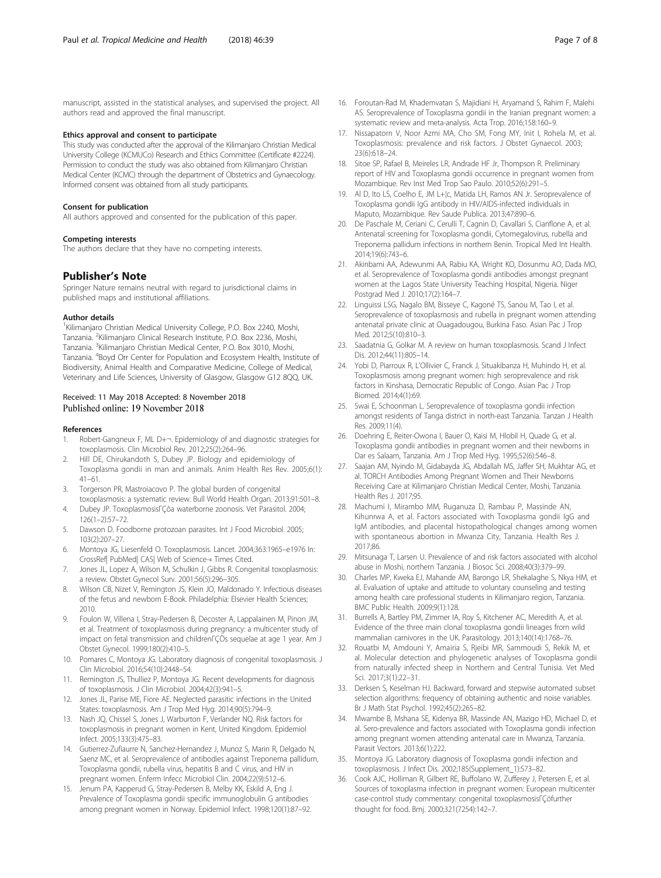<span id="page-6-0"></span>manuscript, assisted in the statistical analyses, and supervised the project. All authors read and approved the final manuscript.

#### Ethics approval and consent to participate

This study was conducted after the approval of the Kilimanjaro Christian Medical University College (KCMUCo) Research and Ethics Committee (Certificate #2224). Permission to conduct the study was also obtained from Kilimanjaro Christian Medical Center (KCMC) through the department of Obstetrics and Gynaecology. Informed consent was obtained from all study participants.

#### Consent for publication

All authors approved and consented for the publication of this paper.

#### Competing interests

The authors declare that they have no competing interests.

#### Publisher's Note

Springer Nature remains neutral with regard to jurisdictional claims in published maps and institutional affiliations.

#### Author details

<sup>1</sup>Kilimanjaro Christian Medical University College, P.O. Box 2240, Moshi, Tanzania. <sup>2</sup>Kilimanjaro Clinical Research Institute, P.O. Box 2236, Moshi, Tanzania. <sup>3</sup>Kilimanjaro Christian Medical Center, P.O. Box 3010, Moshi, Tanzania. <sup>4</sup>Boyd Orr Center for Population and Ecosystem Health, Institute of Biodiversity, Animal Health and Comparative Medicine, College of Medical, Veterinary and Life Sciences, University of Glasgow, Glasgow G12 8QQ, UK.

#### Received: 11 May 2018 Accepted: 8 November 2018 Published online: 19 November 2018

#### References

- 1. Robert-Gangneux F, ML D+¬. Epidemiology of and diagnostic strategies for toxoplasmosis. Clin Microbiol Rev. 2012;25(2):264–96.
- 2. Hill DE, Chirukandoth S, Dubey JP. Biology and epidemiology of Toxoplasma gondii in man and animals. Anim Health Res Rev. 2005;6(1): 41–61.
- 3. Torgerson PR, Mastroiacovo P. The global burden of congenital
- toxoplasmosis: a systematic review. Bull World Health Organ. 2013;91:501–8. 4. Dubey JP. ToxoplasmosisΓÇôa waterborne zoonosis. Vet Parasitol. 2004;  $126(1-2):57-72$
- 5. Dawson D. Foodborne protozoan parasites. Int J Food Microbiol. 2005; 103(2):207–27.
- 6. Montoya JG, Liesenfeld O. Toxoplasmosis. Lancet. 2004;363:1965–e1976 In: CrossRef| PubMed| CAS| Web of Science-« Times Cited.
- 7. Jones JL, Lopez A, Wilson M, Schulkin J, Gibbs R. Congenital toxoplasmosis: a review. Obstet Gynecol Surv. 2001;56(5):296–305.
- 8. Wilson CB, Nizet V, Remington JS, Klein JO, Maldonado Y. Infectious diseases of the fetus and newborn E-Book. Philadelphia: Elsevier Health Sciences; 2010.
- 9. Foulon W, Villena I, Stray-Pedersen B, Decoster A, Lappalainen M, Pinon JM, et al. Treatment of toxoplasmosis during pregnancy: a multicenter study of impact on fetal transmission and childrenΓÇÖs sequelae at age 1 year. Am J Obstet Gynecol. 1999;180(2):410–5.
- 10. Pomares C, Montoya JG. Laboratory diagnosis of congenital toxoplasmosis. J Clin Microbiol. 2016;54(10):2448–54.
- 11. Remington JS, Thulliez P, Montoya JG. Recent developments for diagnosis of toxoplasmosis. J Clin Microbiol. 2004;42(3):941–5.
- 12. Jones JL, Parise ME, Fiore AE. Neglected parasitic infections in the United States: toxoplasmosis. Am J Trop Med Hyg. 2014;90(5):794–9.
- 13. Nash JQ, Chissel S, Jones J, Warburton F, Verlander NQ. Risk factors for toxoplasmosis in pregnant women in Kent, United Kingdom. Epidemiol Infect. 2005;133(3):475–83.
- 14. Gutierrez-Zufiaurre N, Sanchez-Hernandez J, Munoz S, Marin R, Delgado N, Saenz MC, et al. Seroprevalence of antibodies against Treponema pallidum, Toxoplasma gondii, rubella virus, hepatitis B and C virus, and HIV in pregnant women. Enferm Infecc Microbiol Clin. 2004;22(9):512–6.
- 15. Jenum PA, Kapperud G, Stray-Pedersen B, Melby KK, Eskild A, Eng J. Prevalence of Toxoplasma gondii specific immunoglobulin G antibodies among pregnant women in Norway. Epidemiol Infect. 1998;120(1):87–92.
- 16. Foroutan-Rad M, Khademvatan S, Majidiani H, Aryamand S, Rahim F, Malehi AS. Seroprevalence of Toxoplasma gondii in the Iranian pregnant women: a systematic review and meta-analysis. Acta Trop. 2016;158:160–9.
- 17. Nissapatorn V, Noor Azmi MA, Cho SM, Fong MY, Init I, Rohela M, et al. Toxoplasmosis: prevalence and risk factors. J Obstet Gynaecol. 2003; 23(6):618–24.
- 18. Sitoe SP, Rafael B, Meireles LR, Andrade HF Jr, Thompson R. Preliminary report of HIV and Toxoplasma gondii occurrence in pregnant women from Mozambique. Rev Inst Med Trop Sao Paulo. 2010;52(6):291–5.
- 19. Al D, Ito LS, Coelho E, JM L+¦c, Matida LH, Ramos AN Jr. Seroprevalence of Toxoplasma gondii IgG antibody in HIV/AIDS-infected individuals in Maputo, Mozambique. Rev Saude Publica. 2013;47:890–6.
- 20. De Paschale M, Ceriani C, Cerulli T, Cagnin D, Cavallari S, Cianflone A, et al. Antenatal screening for Toxoplasma gondii, Cytomegalovirus, rubella and Treponema pallidum infections in northern Benin. Tropical Med Int Health. 2014;19(6):743–6.
- 21. Akinbami AA, Adewunmi AA, Rabiu KA, Wright KO, Dosunmu AO, Dada MO, et al. Seroprevalence of Toxoplasma gondii antibodies amongst pregnant women at the Lagos State University Teaching Hospital, Nigeria. Niger Postgrad Med J. 2010;17(2):164–7.
- 22. Linguissi LSG, Nagalo BM, Bisseye C, Kagoné TS, Sanou M, Tao I, et al. Seroprevalence of toxoplasmosis and rubella in pregnant women attending antenatal private clinic at Ouagadougou, Burkina Faso. Asian Pac J Trop Med. 2012;5(10):810–3.
- 23. Saadatnia G, Golkar M. A review on human toxoplasmosis. Scand J Infect Dis. 2012;44(11):805–14.
- 24. Yobi D, Piarroux R, L'Ollivier C, Franck J, Situakibanza H, Muhindo H, et al. Toxoplasmosis among pregnant women: high seroprevalence and risk factors in Kinshasa, Democratic Republic of Congo. Asian Pac J Trop Biomed. 2014;4(1):69.
- 25. Swai E, Schoonman L. Seroprevalence of toxoplasma gondii infection amongst residents of Tanga district in north-east Tanzania. Tanzan J Health Res. 2009;11(4).
- 26. Doehring E, Reiter-Owona I, Bauer O, Kaisi M, Hlobil H, Quade G, et al. Toxoplasma gondii antibodies in pregnant women and their newborns in Dar es Salaam, Tanzania. Am J Trop Med Hyg. 1995;52(6):546–8.
- 27. Saajan AM, Nyindo M, Gidabayda JG, Abdallah MS, Jaffer SH, Mukhtar AG, et al. TORCH Antibodies Among Pregnant Women and Their Newborns Receiving Care at Kilimanjaro Christian Medical Center, Moshi, Tanzania. Health Res J. 2017;95.
- 28. Machumi I, Mirambo MM, Ruganuza D, Rambau P, Massinde AN, Kihunrwa A, et al. Factors associated with Toxoplasma gondii IgG and IgM antibodies, and placental histopathological changes among women with spontaneous abortion in Mwanza City, Tanzania. Health Res J. 2017;86.
- 29. Mitsunaga T, Larsen U. Prevalence of and risk factors associated with alcohol abuse in Moshi, northern Tanzania. J Biosoc Sci. 2008;40(3):379–99.
- 30. Charles MP, Kweka EJ, Mahande AM, Barongo LR, Shekalaghe S, Nkya HM, et al. Evaluation of uptake and attitude to voluntary counseling and testing among health care professional students in Kilimanjaro region, Tanzania. BMC Public Health. 2009;9(1):128.
- 31. Burrells A, Bartley PM, Zimmer IA, Roy S, Kitchener AC, Meredith A, et al. Evidence of the three main clonal toxoplasma gondii lineages from wild mammalian carnivores in the UK. Parasitology. 2013;140(14):1768–76.
- 32. Rouatbi M, Amdouni Y, Amairia S, Rjeibi MR, Sammoudi S, Rekik M, et al. Molecular detection and phylogenetic analyses of Toxoplasma gondii from naturally infected sheep in Northern and Central Tunisia. Vet Med Sci. 2017;3(1):22–31.
- 33. Derksen S, Keselman HJ. Backward, forward and stepwise automated subset selection algorithms: frequency of obtaining authentic and noise variables. Br J Math Stat Psychol. 1992;45(2):265–82.
- 34. Mwambe B, Mshana SE, Kidenya BR, Massinde AN, Mazigo HD, Michael D, et al. Sero-prevalence and factors associated with Toxoplasma gondii infection among pregnant women attending antenatal care in Mwanza, Tanzania. Parasit Vectors. 2013;6(1):222.
- 35. Montoya JG. Laboratory diagnosis of Toxoplasma gondii infection and toxoplasmosis. J Infect Dis. 2002;185(Supplement\_1):S73–82.
- 36. Cook AJC, Holliman R, Gilbert RE, Buffolano W, Zufferey J, Petersen E, et al. Sources of toxoplasma infection in pregnant women: European multicenter case-control study commentary: congenital toxoplasmosisΓÇöfurther thought for food. Bmj. 2000;321(7254):142–7.